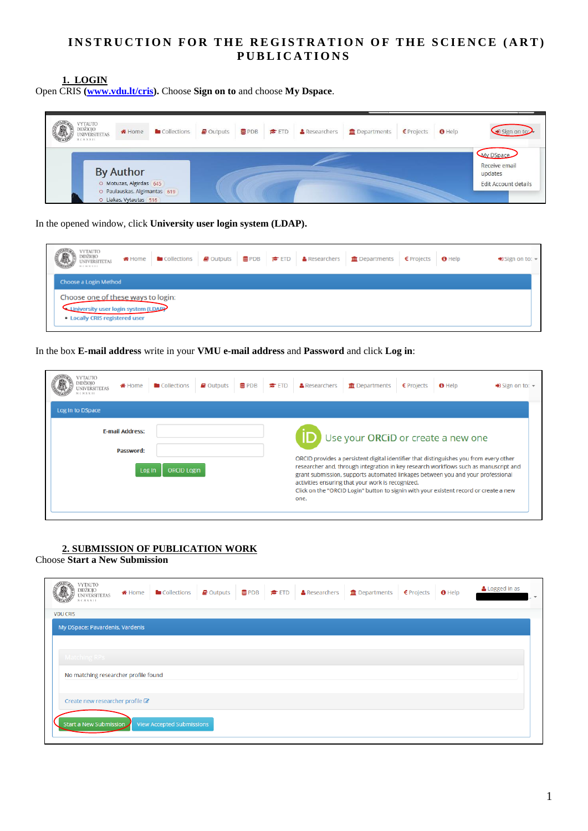# **INSTRUCTION FOR THE REGISTRATION OF THE SCIENCE (ART) P U B L I C A T I O N S**

**1. LOGIN**

Open CRIS **[\(www.vdu.lt/cris\)](www.vdu.lt/cris).** Choose **Sign on to** and choose **My Dspace**.

| <b>YTAUTO</b><br><b>DIDŽIOJO</b><br>Collections<br>* Home<br><b>UNIVERSITETAS</b><br>ECNXXII          | Outputs<br><b>豊PDB</b><br><b>A</b> Researchers<br>$\bullet$ ETD | Departments<br>€ Projects<br>$\theta$ Help | Sign on                                                                     |
|-------------------------------------------------------------------------------------------------------|-----------------------------------------------------------------|--------------------------------------------|-----------------------------------------------------------------------------|
| <b>By Author</b><br>O Motuzas, Algirdas 645<br>O Paulauskas, Algimantas 619<br>O Liakas, Vytautas 516 |                                                                 |                                            | <b>My DSpace</b><br>Receive email<br>updates<br><b>Edit Account details</b> |

In the opened window, click **University user login system (LDAP).**

| <b>VYTAUTO</b><br><b>OIDEN</b><br><b>NIVERSITETAS</b><br>NCNNNIE      |                                    | <b>#Home b</b> Collections <b>B</b> Outputs <b>B</b> PDB <b>E</b> ETD <b>A</b> Researchers <b>f</b> Departments € Projects <b>O</b> Help |  | $\bigstar$ Sign on to: $\star$ |
|-----------------------------------------------------------------------|------------------------------------|------------------------------------------------------------------------------------------------------------------------------------------|--|--------------------------------|
| Choose a Login Method                                                 |                                    |                                                                                                                                          |  |                                |
| University user login system (LDAP)<br>• Locally CRIS registered user | Choose one of these ways to login: |                                                                                                                                          |  |                                |

In the box **E-mail address** write in your **VMU e-mail address** and **Password** and click **Log in**:

| <b>TYTAUTO</b><br>DIDŽIOIO<br><b>#</b> Home<br>C M X X 11                                                                                                                                                                                                                                                                                                                                                                                                                                                  | <b>Collections</b> | $\blacktriangleright$ Outputs<br><b>書PDB</b> | <b>古</b> ETD | & Researchers | <b>THE</b> Departments | $E$ Projects | $\theta$ Help | $\bigoplus$ Sign on to: $\bigtriangledown$ |
|------------------------------------------------------------------------------------------------------------------------------------------------------------------------------------------------------------------------------------------------------------------------------------------------------------------------------------------------------------------------------------------------------------------------------------------------------------------------------------------------------------|--------------------|----------------------------------------------|--------------|---------------|------------------------|--------------|---------------|--------------------------------------------|
| Log In to DSpace                                                                                                                                                                                                                                                                                                                                                                                                                                                                                           |                    |                                              |              |               |                        |              |               |                                            |
| <b>E-mail Address:</b>                                                                                                                                                                                                                                                                                                                                                                                                                                                                                     |                    |                                              |              |               |                        |              |               |                                            |
| Use your ORCID or create a new one<br>Password:<br>ORCID provides a persistent digital identifier that distinguishes you from every other<br>researcher and, through integration in key research workflows such as manuscript and<br><b>ORCID Login</b><br>Log In<br>grant submission, supports automated linkages between you and your professional<br>activities ensuring that your work is recognized.<br>Click on the "ORCID Login" button to signin with your existent record or create a new<br>one. |                    |                                              |              |               |                        |              |               |                                            |

## **2. SUBMISSION OF PUBLICATION WORK**

Choose **Start a New Submission**

| VYTAUTO<br>DIDŽIOJO<br>UNIVERSITETAS<br><b>MCMXXII</b> | <b>备</b> Home | Collections                      | $\blacksquare$ Outputs | <b>B</b> PDB <b><del>⊄</del></b> ETD | <b>&amp;</b> Researchers | <b>III</b> Departments | $E$ Projects | $\theta$ Help | Logged in as | $\overline{\phantom{a}}$ |
|--------------------------------------------------------|---------------|----------------------------------|------------------------|--------------------------------------|--------------------------|------------------------|--------------|---------------|--------------|--------------------------|
| <b>VDU CRIS</b>                                        |               |                                  |                        |                                      |                          |                        |              |               |              |                          |
| My DSpace: Pavardenis, Vardenis                        |               |                                  |                        |                                      |                          |                        |              |               |              |                          |
|                                                        |               |                                  |                        |                                      |                          |                        |              |               |              |                          |
|                                                        |               |                                  |                        |                                      |                          |                        |              |               |              |                          |
| Matching RPs                                           |               |                                  |                        |                                      |                          |                        |              |               |              |                          |
| No matching researcher profile found                   |               |                                  |                        |                                      |                          |                        |              |               |              |                          |
|                                                        |               |                                  |                        |                                      |                          |                        |              |               |              |                          |
| Create new researcher profile C                        |               |                                  |                        |                                      |                          |                        |              |               |              |                          |
| Start a New Submission                                 |               | <b>View Accepted Submissions</b> |                        |                                      |                          |                        |              |               |              |                          |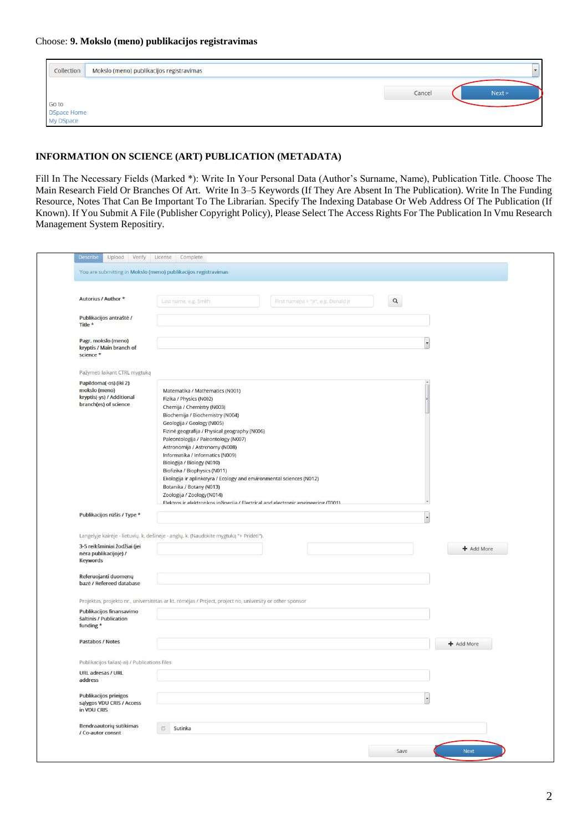| Collection                               | Mokslo (meno) publikacijos registravimas | $\overline{\phantom{0}}$ |
|------------------------------------------|------------------------------------------|--------------------------|
| Go to<br><b>DSpace Home</b><br>My DSpace |                                          | Cancel<br>Next >         |

### **INFORMATION ON SCIENCE (ART) PUBLICATION (METADATA)**

Fill In The Necessary Fields (Marked \*): Write In Your Personal Data (Author's Surname, Name), Publication Title. Choose The Main Research Field Or Branches Of Art. Write In 3–5 Keywords (If They Are Absent In The Publication). Write In The Funding Resource, Notes That Can Be Important To The Librarian. Specify The Indexing Database Or Web Address Of The Publication (If Known). If You Submit A File (Publisher Copyright Policy), Please Select The Access Rights For The Publication In Vmu Research Management System Repositiry.

| Autorius / Author *                                                                                                          | $\alpha$<br>First name(s) + "Jr", e.g. Donald Jr<br>Last name, e.g. Smith                                                                                                                                                                                                                                                                                                                                                                                                                                                                                                                                        |            |
|------------------------------------------------------------------------------------------------------------------------------|------------------------------------------------------------------------------------------------------------------------------------------------------------------------------------------------------------------------------------------------------------------------------------------------------------------------------------------------------------------------------------------------------------------------------------------------------------------------------------------------------------------------------------------------------------------------------------------------------------------|------------|
| Publikacijos antraštė /<br>Title *                                                                                           |                                                                                                                                                                                                                                                                                                                                                                                                                                                                                                                                                                                                                  |            |
| Pagr. mokslo (meno)<br>kryptis / Main branch of<br>science *                                                                 |                                                                                                                                                                                                                                                                                                                                                                                                                                                                                                                                                                                                                  |            |
| Pažymėti laikant CTRL mygtuką                                                                                                |                                                                                                                                                                                                                                                                                                                                                                                                                                                                                                                                                                                                                  |            |
| Papildoma(-os) (iki 2)<br>mokslo (meno)<br>kryptis(-ys) / Additional<br>branch(es) of science<br>Publikacijos rūšis / Type * | Matematika / Mathematics (N001)<br>Fizika / Physics (N002)<br>Chemija / Chemistry (N003)<br>Biochemija / Biochemistry (N004)<br>Geologija / Geology (N005)<br>Fizinė geografija / Physical geography (N006)<br>Paleontologija / Paleontology (N007)<br>Astronomija / Astronomy (N008)<br>Informatika / Informatics (N009)<br>Biologija / Biology (N010)<br>Biofizika / Biophysics (N011)<br>Ekologija ir aplinkotyra / Ecology and environmental sciences (N012)<br>Botanika / Botany (N013)<br>Zoologija / Zoology (N014)<br>Elektros ir elektronikos inžinerija / Electrical and electronic engineering (T001) |            |
| 3-5 reikšminiai žodžiai (jei<br>nėra publikacijoje) /<br>Keywords                                                            | Langelyje kairėje - lietuvių. k, dešinėje - anglų. k. (Naudokite mygtuką "+ Pridėti").                                                                                                                                                                                                                                                                                                                                                                                                                                                                                                                           | + Add More |
| Referuojanti duomenų<br>bazė / Refereed database                                                                             |                                                                                                                                                                                                                                                                                                                                                                                                                                                                                                                                                                                                                  |            |
|                                                                                                                              | Projektas, projekto nr., universitetas ar kt. rėmėjas / Project, project no, university or other sponsor                                                                                                                                                                                                                                                                                                                                                                                                                                                                                                         |            |
| Publikacijos finansavimo<br>šaltinis / Publication<br>funding *                                                              |                                                                                                                                                                                                                                                                                                                                                                                                                                                                                                                                                                                                                  |            |
| Pastabos / Notes                                                                                                             |                                                                                                                                                                                                                                                                                                                                                                                                                                                                                                                                                                                                                  | + Add More |
| Publikacijos failas(-ai) / Publications files                                                                                |                                                                                                                                                                                                                                                                                                                                                                                                                                                                                                                                                                                                                  |            |
| URL adresas / URL<br>address                                                                                                 |                                                                                                                                                                                                                                                                                                                                                                                                                                                                                                                                                                                                                  |            |
| Publikacijos prieigos<br>sąlygos VDU CRIS / Access<br>in VDU CRIS                                                            |                                                                                                                                                                                                                                                                                                                                                                                                                                                                                                                                                                                                                  |            |
| Bendraautorių sutikimas                                                                                                      | Sutinka<br>回                                                                                                                                                                                                                                                                                                                                                                                                                                                                                                                                                                                                     |            |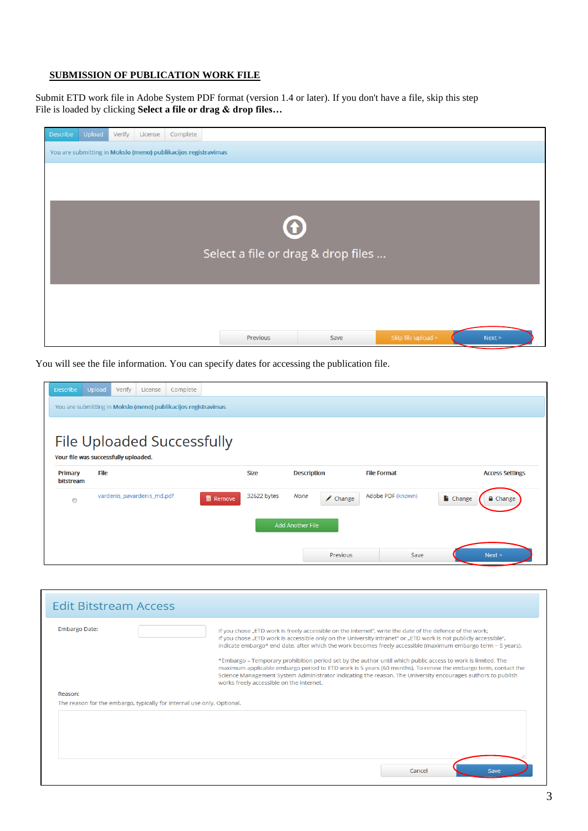### **SUBMISSION OF PUBLICATION WORK FILE**

Submit ETD work file in Adobe System PDF format (version 1.4 or later). If you don't have a file, skip this step File is loaded by clicking **Select a file or drag & drop files…**

| <b>Describe</b> | Upload                                                         | Verify | License | Complete |                                    |      |                    |        |  |  |
|-----------------|----------------------------------------------------------------|--------|---------|----------|------------------------------------|------|--------------------|--------|--|--|
|                 | You are submitting in Mokslo (meno) publikacijos registravimas |        |         |          |                                    |      |                    |        |  |  |
|                 |                                                                |        |         |          |                                    |      |                    |        |  |  |
|                 |                                                                |        |         |          |                                    |      |                    |        |  |  |
|                 |                                                                |        |         |          |                                    |      |                    |        |  |  |
|                 |                                                                |        |         |          | $\bigodot$                         |      |                    |        |  |  |
|                 |                                                                |        |         |          |                                    |      |                    |        |  |  |
|                 |                                                                |        |         |          | Select a file or drag & drop files |      |                    |        |  |  |
|                 |                                                                |        |         |          |                                    |      |                    |        |  |  |
|                 |                                                                |        |         |          |                                    |      |                    |        |  |  |
|                 |                                                                |        |         |          |                                    |      |                    |        |  |  |
|                 |                                                                |        |         |          |                                    |      |                    |        |  |  |
|                 |                                                                |        |         |          | Previous                           | Save | Skip file upload > | Next > |  |  |

You will see the file information. You can specify dates for accessing the publication file.

| <b>Describe</b>                      | Upload                                                         | Verify | License                    | Complete |                 |             |                    |                    |                    |                       |                        |
|--------------------------------------|----------------------------------------------------------------|--------|----------------------------|----------|-----------------|-------------|--------------------|--------------------|--------------------|-----------------------|------------------------|
|                                      | You are submitting in Mokslo (meno) publikacijos registravimas |        |                            |          |                 |             |                    |                    |                    |                       |                        |
|                                      |                                                                |        |                            |          |                 |             |                    |                    |                    |                       |                        |
| File Uploaded Successfully           |                                                                |        |                            |          |                 |             |                    |                    |                    |                       |                        |
| Your file was successfully uploaded. |                                                                |        |                            |          |                 |             |                    |                    |                    |                       |                        |
| Primary<br>bitstream                 | File                                                           |        |                            |          |                 | <b>Size</b> | <b>Description</b> |                    | <b>File Format</b> |                       | <b>Access Settings</b> |
| $\circledcirc$                       |                                                                |        | vardenis_pavardenis_md.pdf |          | <b>m</b> Remove | 32622 bytes | None               | $\triangle$ Change | Adobe PDF (known)  | $\blacksquare$ Change | $\triangle$ Change     |
|                                      | <b>Add Another File</b>                                        |        |                            |          |                 |             |                    |                    |                    |                       |                        |
|                                      |                                                                |        |                            |          |                 |             |                    | Previous           | Save               |                       | Next >                 |

| <b>Edit Bitstream Access</b>                                                      |                                                                                                                                                                                                                                                                                                                                                                                                                                                                                                                                                                                                                                                                                                                                       |
|-----------------------------------------------------------------------------------|---------------------------------------------------------------------------------------------------------------------------------------------------------------------------------------------------------------------------------------------------------------------------------------------------------------------------------------------------------------------------------------------------------------------------------------------------------------------------------------------------------------------------------------------------------------------------------------------------------------------------------------------------------------------------------------------------------------------------------------|
| <b>Embargo Date:</b>                                                              | If you chose "ETD work is freely accessible on the internet", write the date of the defence of the work;<br>If you chose "ETD work is accessible only on the University intranet" or "ETD work is not publicly accessible",<br>indicate embargo* end date, after which the work becomes freely accessible (maximum embargo term - 5 years).<br>*Embargo – Temporary prohibition period set by the author until which public access to work is limited. The<br>maximum applicable embargo period to ETD work is 5 years (60 months). To renew the embargo term, contact the<br>Science Management System Administrator indicating the reason. The University encourages authors to publish<br>works freely accessible on the internet. |
|                                                                                   |                                                                                                                                                                                                                                                                                                                                                                                                                                                                                                                                                                                                                                                                                                                                       |
|                                                                                   |                                                                                                                                                                                                                                                                                                                                                                                                                                                                                                                                                                                                                                                                                                                                       |
| Reason:<br>The reason for the embargo, typically for internal use only. Optional. |                                                                                                                                                                                                                                                                                                                                                                                                                                                                                                                                                                                                                                                                                                                                       |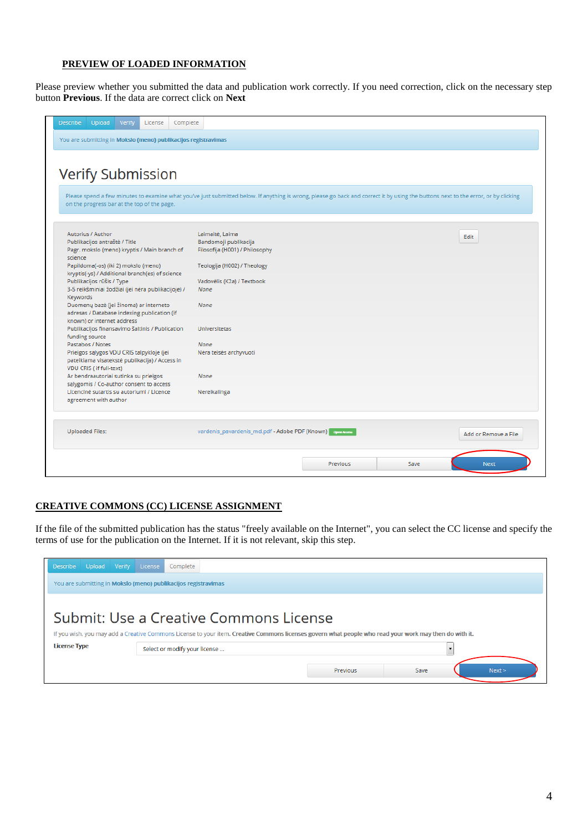### **PREVIEW OF LOADED INFORMATION**

Please preview whether you submitted the data and publication work correctly. If you need correction, click on the necessary step button **Previous**. If the data are correct click on **Next**

| <b>Describe</b><br>Verify<br>Upload<br>License<br>Complete                                                                                                                                                                        |                                                            |                 |      |                      |
|-----------------------------------------------------------------------------------------------------------------------------------------------------------------------------------------------------------------------------------|------------------------------------------------------------|-----------------|------|----------------------|
| You are submitting in Mokslo (meno) publikacijos registravimas                                                                                                                                                                    |                                                            |                 |      |                      |
|                                                                                                                                                                                                                                   |                                                            |                 |      |                      |
|                                                                                                                                                                                                                                   |                                                            |                 |      |                      |
| <b>Verify Submission</b>                                                                                                                                                                                                          |                                                            |                 |      |                      |
|                                                                                                                                                                                                                                   |                                                            |                 |      |                      |
| Please spend a few minutes to examine what you've just submitted below. If anything is wrong, please go back and correct it by using the buttons next to the error, or by clicking<br>on the progress bar at the top of the page. |                                                            |                 |      |                      |
|                                                                                                                                                                                                                                   |                                                            |                 |      |                      |
| Autorius / Author                                                                                                                                                                                                                 | Laimaitė, Laima                                            |                 |      | Edit                 |
| Publikacijos antraštė / Title<br>Pagr. mokslo (meno) kryptis / Main branch of<br>science                                                                                                                                          | Bandomoji publikacija<br>Filosofija (H001) / Philosophy    |                 |      |                      |
| Papildoma(-os) (iki 2) mokslo (meno)<br>kryptis(-ys) / Additional branch(es) of science                                                                                                                                           | Teologija (H002) / Theology                                |                 |      |                      |
| Publikacijos rūšis / Type                                                                                                                                                                                                         | Vadovėlis (K2a) / Textbook                                 |                 |      |                      |
| 3-5 reikšminiai žodžiai (jei nėra publikacijoje) /<br>Keywords                                                                                                                                                                    | None                                                       |                 |      |                      |
| Duomenų bazė (jei žinoma) ar interneto<br>adresas / Database indexing publication (if                                                                                                                                             | None                                                       |                 |      |                      |
| known) or internet address                                                                                                                                                                                                        |                                                            |                 |      |                      |
| Publikacijos finansavimo šaltinis / Publication                                                                                                                                                                                   | <b>Universitetas</b>                                       |                 |      |                      |
| funding source                                                                                                                                                                                                                    |                                                            |                 |      |                      |
| Pastabos / Notes                                                                                                                                                                                                                  | None                                                       |                 |      |                      |
| Prieigos sąlygos VDU CRIS talpykloje (jei<br>pateikiama visatekstė publikacija) / Access in<br>VDU CRIS ( if full-text)                                                                                                           | Néra teisés archyvuoti                                     |                 |      |                      |
| Ar bendraautoriai sutinka su prieigos                                                                                                                                                                                             | None                                                       |                 |      |                      |
| sąlygomis / Co-author consent to access                                                                                                                                                                                           |                                                            |                 |      |                      |
| Licencinė sutartis su autoriumi / Licence<br>agreement with author                                                                                                                                                                | Nereikalinga                                               |                 |      |                      |
| <b>Uploaded Files:</b>                                                                                                                                                                                                            | vardenis_pavardenis_md.pdf - Adobe PDF (Known)   0,0000000 |                 |      | Add or Remove a File |
|                                                                                                                                                                                                                                   |                                                            |                 |      |                      |
|                                                                                                                                                                                                                                   |                                                            | <b>Previous</b> | Save | <b>Next</b>          |

### **CREATIVE COMMONS (CC) LICENSE ASSIGNMENT**

If the file of the submitted publication has the status "freely available on the Internet", you can select the CC license and specify the terms of use for the publication on the Internet. If it is not relevant, skip this step.

| Upload<br><b>Describe</b>                                                                                                                                                                        | Verify<br>License<br>Complete<br>You are submitting in Mokslo (meno) publikacijos registravimas |                 |      |        |  |  |  |  |  |
|--------------------------------------------------------------------------------------------------------------------------------------------------------------------------------------------------|-------------------------------------------------------------------------------------------------|-----------------|------|--------|--|--|--|--|--|
| Submit: Use a Creative Commons License<br>If you wish, you may add a Creative Commons License to your item. Creative Commons licenses govern what people who read your work may then do with it. |                                                                                                 |                 |      |        |  |  |  |  |  |
| <b>License Type</b>                                                                                                                                                                              | Select or modify your license                                                                   |                 |      |        |  |  |  |  |  |
|                                                                                                                                                                                                  |                                                                                                 | <b>Previous</b> | Save | Next > |  |  |  |  |  |